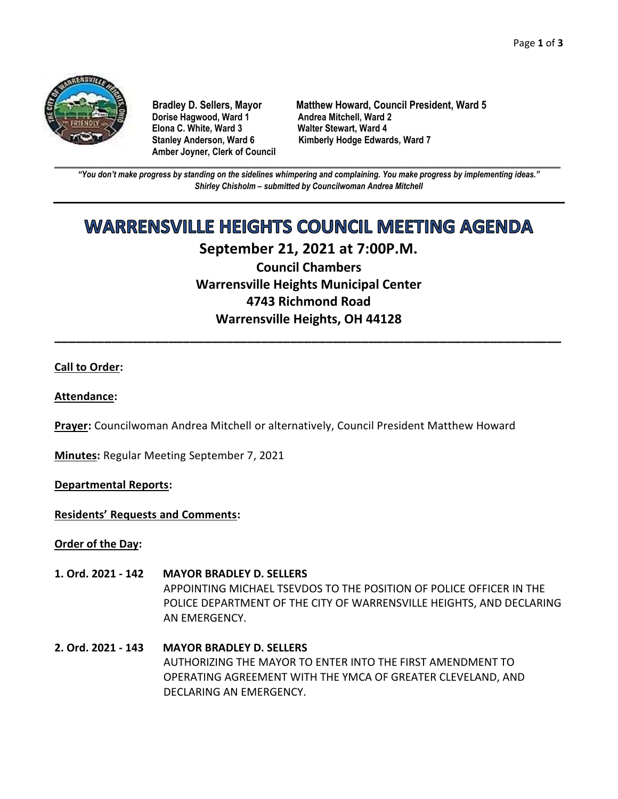

**Dorise Hagwood, Ward 1 Elona C. White, Ward 3 Walter Stewart, Ward 4 Amber Joyner, Clerk of Council**

**Bradley D. Sellers, Mayor Matthew Howard, Council President, Ward 5** Stanley Anderson, Ward 6 Kimberly Hodge Edwards, Ward 7

**\_\_\_\_\_\_\_\_\_\_\_\_\_\_\_\_\_\_\_\_\_\_\_\_\_\_\_\_\_\_\_\_\_\_\_\_\_\_\_\_\_\_\_\_\_\_\_\_\_\_\_\_\_\_\_\_\_\_\_\_\_\_\_\_\_\_\_\_\_\_\_\_\_\_\_\_\_\_\_\_\_\_\_\_\_\_\_\_\_\_\_\_\_\_\_\_\_\_\_\_\_\_\_\_\_\_\_\_\_\_** *"You don't make progress by standing on the sidelines whimpering and complaining. You make progress by implementing ideas." Shirley Chisholm – submitted by Councilwoman Andrea Mitchell*

# **WARRENSVILLE HEIGHTS COUNCIL MEETING AGENDA**

## **September 21, 2021 at 7:00P.M. Council Chambers Warrensville Heights Municipal Center 4743 Richmond Road Warrensville Heights, OH 44128**

**\_\_\_\_\_\_\_\_\_\_\_\_\_\_\_\_\_\_\_\_\_\_\_\_\_\_\_\_\_\_\_\_\_\_\_\_\_\_\_\_\_\_\_\_\_\_\_\_\_\_\_\_\_\_\_\_\_\_\_\_\_\_\_\_\_\_\_\_\_\_\_**

### **Call to Order:**

#### **Attendance:**

**Prayer:** Councilwoman Andrea Mitchell or alternatively, Council President Matthew Howard

**Minutes:** Regular Meeting September 7, 2021

**Departmental Reports:**

**Residents' Requests and Comments:**

**Order of the Day:**

- **1. Ord. 2021 - 142 MAYOR BRADLEY D. SELLERS** APPOINTING MICHAEL TSEVDOS TO THE POSITION OF POLICE OFFICER IN THE POLICE DEPARTMENT OF THE CITY OF WARRENSVILLE HEIGHTS, AND DECLARING AN EMERGENCY.
- **2. Ord. 2021 - 143 MAYOR BRADLEY D. SELLERS** AUTHORIZING THE MAYOR TO ENTER INTO THE FIRST AMENDMENT TO OPERATING AGREEMENT WITH THE YMCA OF GREATER CLEVELAND, AND DECLARING AN EMERGENCY.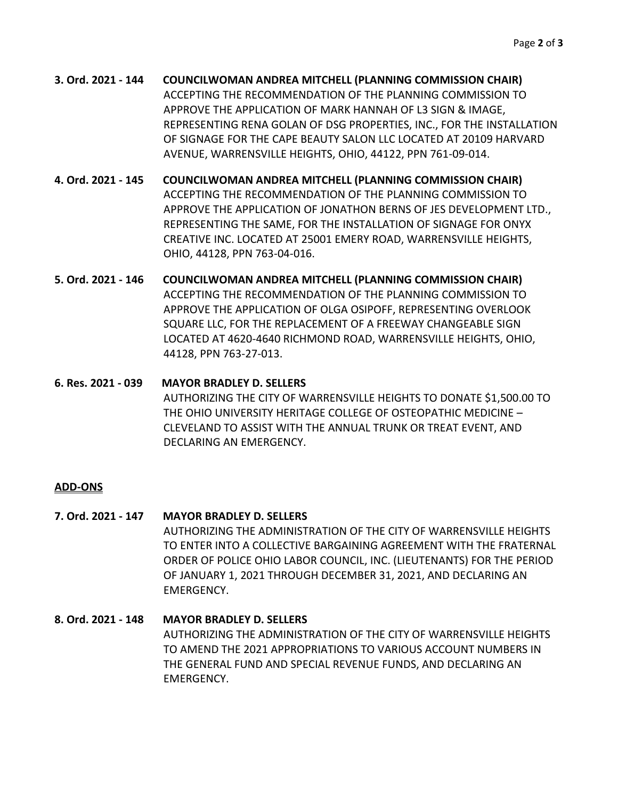- **3. Ord. 2021 - 144 COUNCILWOMAN ANDREA MITCHELL (PLANNING COMMISSION CHAIR)** ACCEPTING THE RECOMMENDATION OF THE PLANNING COMMISSION TO APPROVE THE APPLICATION OF MARK HANNAH OF L3 SIGN & IMAGE, REPRESENTING RENA GOLAN OF DSG PROPERTIES, INC., FOR THE INSTALLATION OF SIGNAGE FOR THE CAPE BEAUTY SALON LLC LOCATED AT 20109 HARVARD AVENUE, WARRENSVILLE HEIGHTS, OHIO, 44122, PPN 761-09-014.
- **4. Ord. 2021 - 145 COUNCILWOMAN ANDREA MITCHELL (PLANNING COMMISSION CHAIR)** ACCEPTING THE RECOMMENDATION OF THE PLANNING COMMISSION TO APPROVE THE APPLICATION OF JONATHON BERNS OF JES DEVELOPMENT LTD., REPRESENTING THE SAME, FOR THE INSTALLATION OF SIGNAGE FOR ONYX CREATIVE INC. LOCATED AT 25001 EMERY ROAD, WARRENSVILLE HEIGHTS, OHIO, 44128, PPN 763-04-016.
- **5. Ord. 2021 - 146 COUNCILWOMAN ANDREA MITCHELL (PLANNING COMMISSION CHAIR)** ACCEPTING THE RECOMMENDATION OF THE PLANNING COMMISSION TO APPROVE THE APPLICATION OF OLGA OSIPOFF, REPRESENTING OVERLOOK SQUARE LLC, FOR THE REPLACEMENT OF A FREEWAY CHANGEABLE SIGN LOCATED AT 4620-4640 RICHMOND ROAD, WARRENSVILLE HEIGHTS, OHIO, 44128, PPN 763-27-013.
- **6. Res. 2021 - 039 MAYOR BRADLEY D. SELLERS** AUTHORIZING THE CITY OF WARRENSVILLE HEIGHTS TO DONATE \$1,500.00 TO THE OHIO UNIVERSITY HERITAGE COLLEGE OF OSTEOPATHIC MEDICINE – CLEVELAND TO ASSIST WITH THE ANNUAL TRUNK OR TREAT EVENT, AND DECLARING AN EMERGENCY.

#### **ADD-ONS**

- **7. Ord. 2021 - 147 MAYOR BRADLEY D. SELLERS** AUTHORIZING THE ADMINISTRATION OF THE CITY OF WARRENSVILLE HEIGHTS TO ENTER INTO A COLLECTIVE BARGAINING AGREEMENT WITH THE FRATERNAL ORDER OF POLICE OHIO LABOR COUNCIL, INC. (LIEUTENANTS) FOR THE PERIOD OF JANUARY 1, 2021 THROUGH DECEMBER 31, 2021, AND DECLARING AN EMERGENCY.
- **8. Ord. 2021 - 148 MAYOR BRADLEY D. SELLERS** AUTHORIZING THE ADMINISTRATION OF THE CITY OF WARRENSVILLE HEIGHTS TO AMEND THE 2021 APPROPRIATIONS TO VARIOUS ACCOUNT NUMBERS IN THE GENERAL FUND AND SPECIAL REVENUE FUNDS, AND DECLARING AN EMERGENCY.